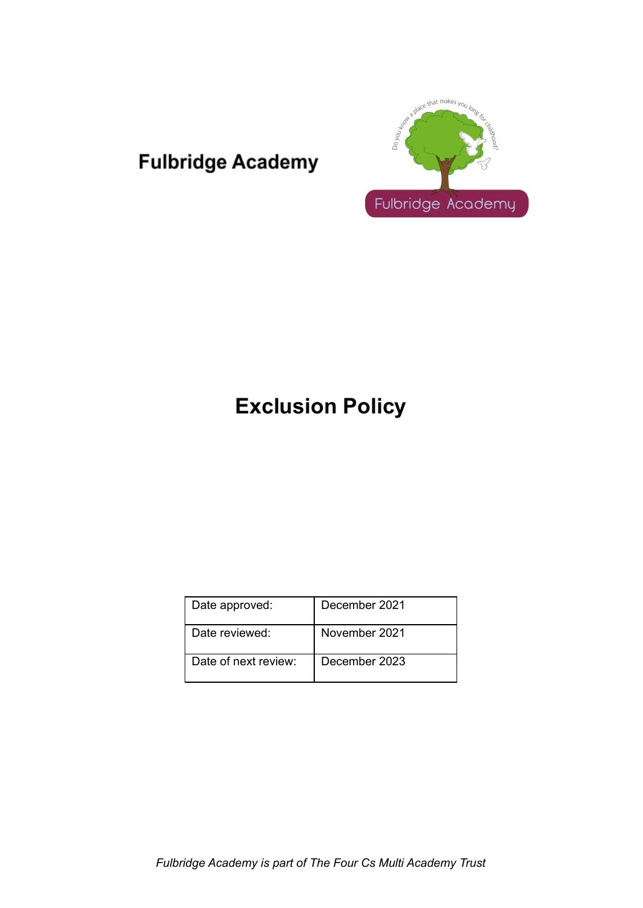## **Fulbridge Academy**



# **Exclusion Policy**

| Date approved:       | December 2021 |
|----------------------|---------------|
| Date reviewed:       | November 2021 |
| Date of next review: | December 2023 |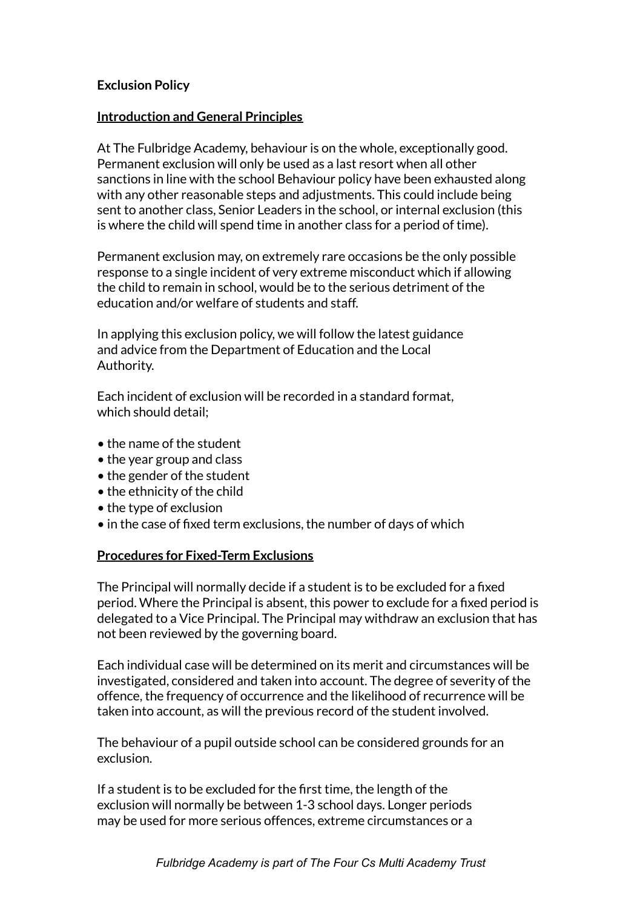## **Exclusion Policy**

#### **Introduction and General Principles**

At The Fulbridge Academy, behaviour is on the whole, exceptionally good. Permanent exclusion will only be used as a last resort when all other sanctions in line with the school Behaviour policy have been exhausted along with any other reasonable steps and adjustments. This could include being sent to another class, Senior Leaders in the school, or internal exclusion (this is where the child will spend time in another class for a period of time).

Permanent exclusion may, on extremely rare occasions be the only possible response to a single incident of very extreme misconduct which if allowing the child to remain in school, would be to the serious detriment of the education and/or welfare of students and staff.

In applying this exclusion policy, we will follow the latest guidance and advice from the Department of Education and the Local Authority.

Each incident of exclusion will be recorded in a standard format, which should detail;

- the name of the student
- the year group and class
- the gender of the student
- the ethnicity of the child
- the type of exclusion
- in the case of fixed term exclusions, the number of days of which

## **Procedures for Fixed-Term Exclusions**

The Principal will normally decide if a student is to be excluded for a fixed period. Where the Principal is absent, this power to exclude for a fixed period is delegated to a Vice Principal. The Principal may withdraw an exclusion that has not been reviewed by the governing board.

Each individual case will be determined on its merit and circumstances will be investigated, considered and taken into account. The degree of severity of the offence, the frequency of occurrence and the likelihood of recurrence will be taken into account, as will the previous record of the student involved.

The behaviour of a pupil outside school can be considered grounds for an exclusion.

If a student is to be excluded for the first time, the length of the exclusion will normally be between 1-3 school days. Longer periods may be used for more serious offences, extreme circumstances or a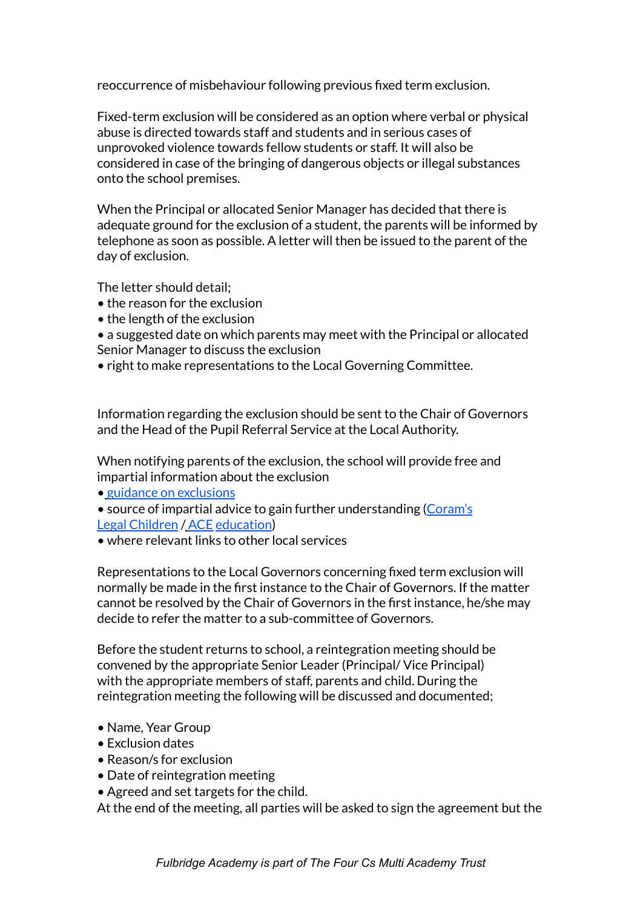reoccurrence of misbehaviour following previous fixed term exclusion.

Fixed-term exclusion will be considered as an option where verbal or physical abuse is directed towards staff and students and in serious cases of unprovoked violence towards fellow students or staff. It will also be considered in case of the bringing of dangerous objects or illegal substances onto the school premises.

When the Principal or allocated Senior Manager has decided that there is adequate ground for the exclusion of a student, the parents will be informed by telephone as soon as possible. A letter will then be issued to the parent of the day of exclusion.

The letter should detail;

- the reason for the exclusion
- the length of the exclusion

• a suggested date on which parents may meet with the Principal or allocated Senior Manager to discuss the exclusion

• right to make representations to the Local Governing Committee.

Information regarding the exclusion should be sent to the Chair of Governors and the Head of the Pupil Referral Service at the Local Authority.

When notifying parents of the exclusion, the school will provide free and impartial information about the exclusion

• guidance on exclusions

- source of impartial advice to gain further understanding (Coram's Legal Children / ACE education)
- where relevant links to other local services

Representations to the Local Governors concerning fixed term exclusion will normally be made in the first instance to the Chair of Governors. If the matter cannot be resolved by the Chair of Governors in the first instance, he/she may decide to refer the matter to a sub-committee of Governors.

Before the student returns to school, a reintegration meeting should be convened by the appropriate Senior Leader (Principal/ Vice Principal) with the appropriate members of staff, parents and child. During the reintegration meeting the following will be discussed and documented;

- Name, Year Group
- Exclusion dates
- Reason/s for exclusion
- Date of reintegration meeting
- Agreed and set targets for the child.

At the end of the meeting, all parties will be asked to sign the agreement but the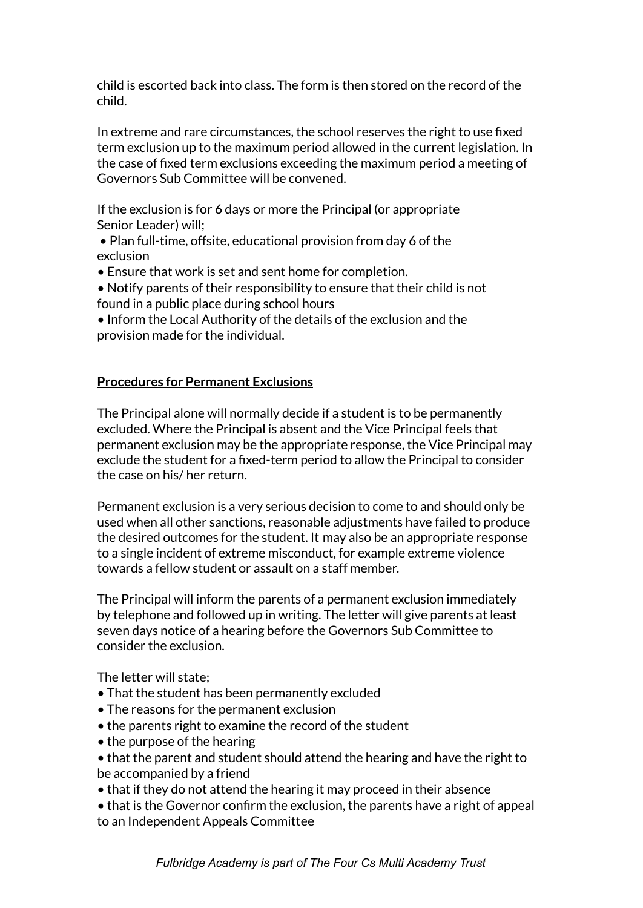child is escorted back into class. The form is then stored on the record of the child.

In extreme and rare circumstances, the school reserves the right to use fixed term exclusion up to the maximum period allowed in the current legislation. In the case of fixed term exclusions exceeding the maximum period a meeting of Governors Sub Committee will be convened.

If the exclusion is for 6 days or more the Principal (or appropriate Senior Leader) will;

• Plan full-time, offsite, educational provision from day 6 of the exclusion

• Ensure that work is set and sent home for completion.

- Notify parents of their responsibility to ensure that their child is not found in a public place during school hours
- Inform the Local Authority of the details of the exclusion and the provision made for the individual.

## **Procedures for Permanent Exclusions**

The Principal alone will normally decide if a student is to be permanently excluded. Where the Principal is absent and the Vice Principal feels that permanent exclusion may be the appropriate response, the Vice Principal may exclude the student for a fixed-term period to allow the Principal to consider the case on his/ her return.

Permanent exclusion is a very serious decision to come to and should only be used when all other sanctions, reasonable adjustments have failed to produce the desired outcomes for the student. It may also be an appropriate response to a single incident of extreme misconduct, for example extreme violence towards a fellow student or assault on a staff member.

The Principal will inform the parents of a permanent exclusion immediately by telephone and followed up in writing. The letter will give parents at least seven days notice of a hearing before the Governors Sub Committee to consider the exclusion.

The letter will state;

- That the student has been permanently excluded
- The reasons for the permanent exclusion
- the parents right to examine the record of the student
- the purpose of the hearing
- that the parent and student should attend the hearing and have the right to be accompanied by a friend
- that if they do not attend the hearing it may proceed in their absence
- that is the Governor confirm the exclusion, the parents have a right of appeal to an Independent Appeals Committee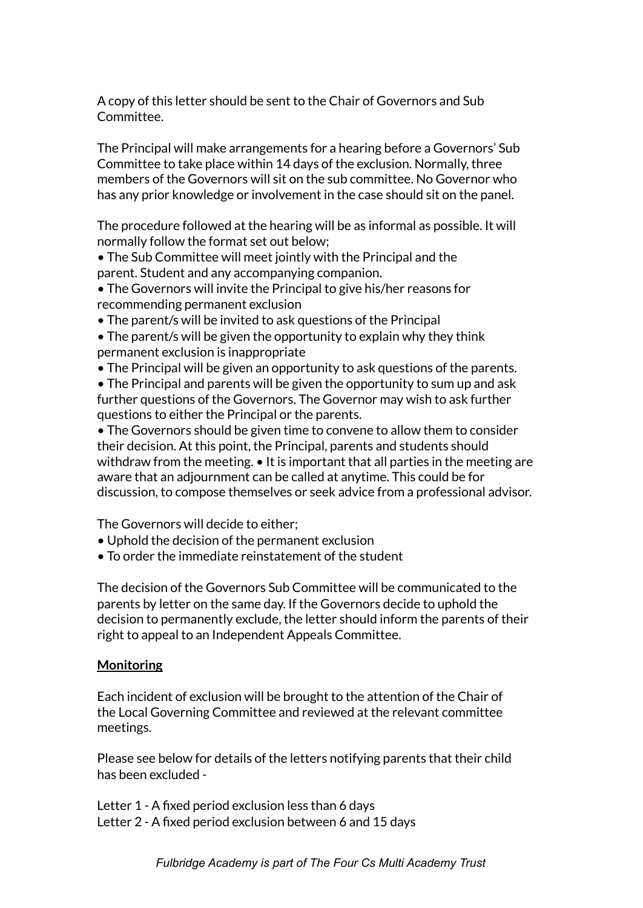A copy of this letter should be sent to the Chair of Governors and Sub Committee.

The Principal will make arrangements for a hearing before a Governors' Sub Committee to take place within 14 days of the exclusion. Normally, three members of the Governors will sit on the sub committee. No Governor who has any prior knowledge or involvement in the case should sit on the panel.

The procedure followed at the hearing will be as informal as possible. It will normally follow the format set out below;

• The Sub Committee will meet jointly with the Principal and the parent. Student and any accompanying companion.

- The Governors will invite the Principal to give his/her reasons for recommending permanent exclusion
- The parent/s will be invited to ask questions of the Principal
- The parent/s will be given the opportunity to explain why they think permanent exclusion is inappropriate
- The Principal will be given an opportunity to ask questions of the parents.
- The Principal and parents will be given the opportunity to sum up and ask further questions of the Governors. The Governor may wish to ask further questions to either the Principal or the parents.

• The Governors should be given time to convene to allow them to consider their decision. At this point, the Principal, parents and students should withdraw from the meeting. • It is important that all parties in the meeting are aware that an adjournment can be called at anytime. This could be for discussion, to compose themselves or seek advice from a professional advisor.

The Governors will decide to either;

- Uphold the decision of the permanent exclusion
- To order the immediate reinstatement of the student

The decision of the Governors Sub Committee will be communicated to the parents by letter on the same day. If the Governors decide to uphold the decision to permanently exclude, the letter should inform the parents of their right to appeal to an Independent Appeals Committee.

## **Monitoring**

Each incident of exclusion will be brought to the attention of the Chair of the Local Governing Committee and reviewed at the relevant committee meetings.

Please see below for details of the letters notifying parents that their child has been excluded -

Letter 1 - A fixed period exclusion less than 6 days Letter 2 - A fixed period exclusion between 6 and 15 days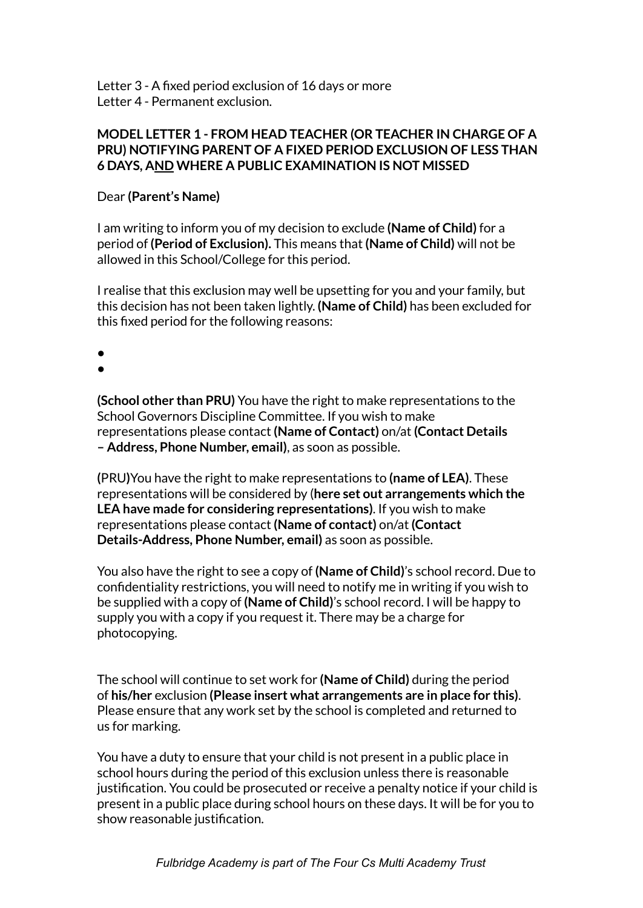Letter 3 - A fixed period exclusion of 16 days or more Letter 4 - Permanent exclusion.

#### **MODEL LETTER 1 - FROM HEAD TEACHER (OR TEACHER IN CHARGE OF A PRU) NOTIFYING PARENT OF A FIXED PERIOD EXCLUSION OF LESS THAN 6 DAYS, AND WHERE A PUBLIC EXAMINATION IS NOT MISSED**

#### Dear **(Parent's Name)**

I am writing to inform you of my decision to exclude **(Name of Child)** for a period of **(Period of Exclusion).** This means that **(Name of Child)** will not be allowed in this School/College for this period.

I realise that this exclusion may well be upsetting for you and your family, but this decision has not been taken lightly. **(Name of Child)** has been excluded for this fixed period for the following reasons:

●

●

**(School other than PRU)** You have the right to make representations to the School Governors Discipline Committee. If you wish to make representations please contact **(Name of Contact)** on/at **(Contact Details – Address, Phone Number, email)**, as soon as possible.

**(**PRU**)**You have the right to make representations to **(name of LEA)**. These representations will be considered by (**here set out arrangements which the LEA have made for considering representations)**. If you wish to make representations please contact **(Name of contact)** on/at **(Contact Details-Address, Phone Number, email)** as soon as possible.

You also have the right to see a copy of **(Name of Child)**'s school record. Due to confidentiality restrictions, you will need to notify me in writing if you wish to be supplied with a copy of **(Name of Child)**'s school record. I will be happy to supply you with a copy if you request it. There may be a charge for photocopying.

The school will continue to set work for **(Name of Child)** during the period of **his/her** exclusion **(Please insert what arrangements are in place for this)**. Please ensure that any work set by the school is completed and returned to us for marking.

You have a duty to ensure that your child is not present in a public place in school hours during the period of this exclusion unless there is reasonable justification. You could be prosecuted or receive a penalty notice if your child is present in a public place during school hours on these days. It will be for you to show reasonable justification.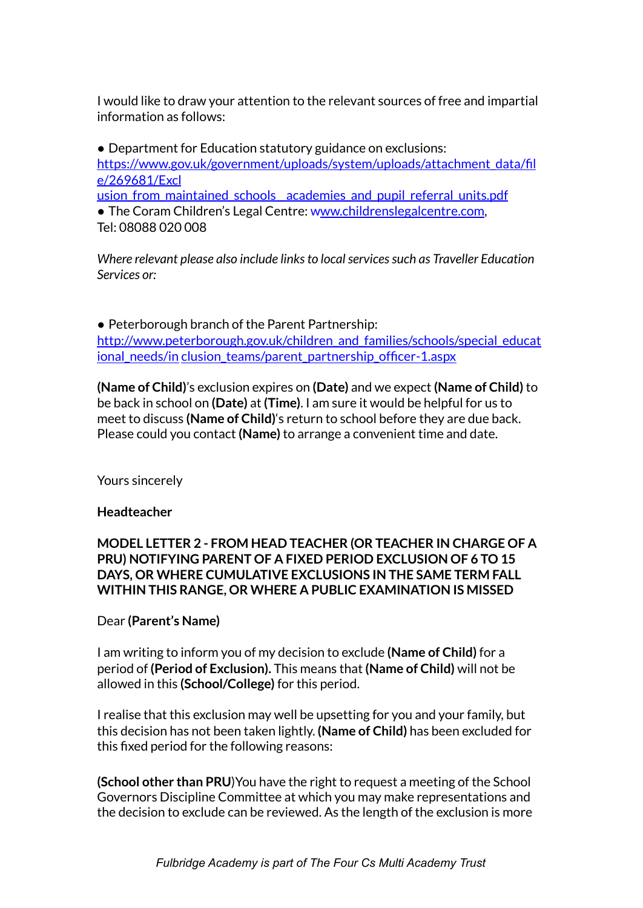I would like to draw your attention to the relevant sources of free and impartial information as follows:

• Department for Education statutory guidance on exclusions: https://www.gov.uk/government/uploads/system/uploads/attachment\_data/fil e/269681/Excl usion from maintained schools academies and pupil referral units.pdf

• The Coram Children's Legal Centre: www.childrenslegalcentre.com,

Tel: 08088 020 008

*Where relevant please also include linksto localservicessuch as Traveller Education Services or:*

● Peterborough branch of the Parent Partnership: http://www.peterborough.gov.uk/children\_and\_families/schools/special\_educat ional needs/in clusion teams/parent partnership officer-1.aspx

**(Name of Child)**'s exclusion expires on **(Date)** and we expect **(Name of Child)** to be back in school on **(Date)** at **(Time)**. I am sure it would be helpful for us to meet to discuss **(Name of Child)**'s return to school before they are due back. Please could you contact **(Name)** to arrange a convenient time and date.

Yours sincerely

## **Headteacher**

## **MODEL LETTER 2 - FROM HEAD TEACHER (OR TEACHER IN CHARGE OF A PRU) NOTIFYING PARENT OF A FIXED PERIOD EXCLUSION OF 6 TO 15 DAYS, OR WHERE CUMULATIVE EXCLUSIONS IN THE SAME TERM FALL WITHIN THIS RANGE, OR WHERE A PUBLIC EXAMINATION IS MISSED**

## Dear **(Parent's Name)**

I am writing to inform you of my decision to exclude **(Name of Child)** for a period of **(Period of Exclusion).** This means that **(Name of Child)** will not be allowed in this **(School/College)** for this period.

I realise that this exclusion may well be upsetting for you and your family, but this decision has not been taken lightly. **(Name of Child)** has been excluded for this fixed period for the following reasons:

**(School other than PRU**)You have the right to request a meeting of the School Governors Discipline Committee at which you may make representations and the decision to exclude can be reviewed. As the length of the exclusion is more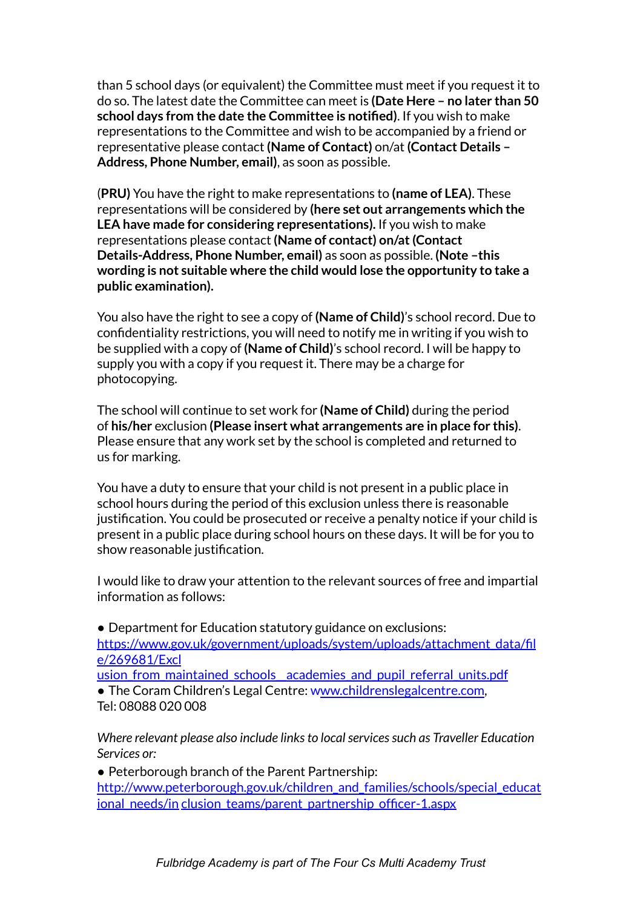than 5 school days (or equivalent) the Committee must meet if you request it to do so. The latest date the Committee can meet is **(Date Here – no later than 50 school days from the date the Committee is notified)**. If you wish to make representations to the Committee and wish to be accompanied by a friend or representative please contact **(Name of Contact)** on/at **(Contact Details – Address, Phone Number, email)**, as soon as possible.

(**PRU)** You have the right to make representations to **(name of LEA)**. These representations will be considered by **(here set out arrangements which the LEA have made for considering representations).** If you wish to make representations please contact **(Name of contact) on/at(Contact Details-Address, Phone Number, email)** as soon as possible. **(Note –this wording is not suitable where the child would lose the opportunity to take a public examination).**

You also have the right to see a copy of **(Name of Child)**'s school record. Due to confidentiality restrictions, you will need to notify me in writing if you wish to be supplied with a copy of **(Name of Child)**'s school record. I will be happy to supply you with a copy if you request it. There may be a charge for photocopying.

The school will continue to set work for **(Name of Child)** during the period of **his/her** exclusion **(Please insert what arrangements are in place for this)**. Please ensure that any work set by the school is completed and returned to us for marking.

You have a duty to ensure that your child is not present in a public place in school hours during the period of this exclusion unless there is reasonable justification. You could be prosecuted or receive a penalty notice if your child is present in a public place during school hours on these days. It will be for you to show reasonable justification.

I would like to draw your attention to the relevant sources of free and impartial information as follows:

● Department for Education statutory guidance on exclusions: https://www.gov.uk/government/uploads/system/uploads/attachment\_data/fil e/269681/Excl

usion from maintained schools academies and pupil referral units.pdf

• The Coram Children's Legal Centre: www.childrenslegalcentre.com, Tel: 08088 020 008

*Where relevant please also include linksto localservicessuch as Traveller Education Services or:*

• Peterborough branch of the Parent Partnership: http://www.peterborough.gov.uk/children\_and\_families/schools/special\_educat ional\_needs/in clusion\_teams/parent\_partnership\_officer-1.aspx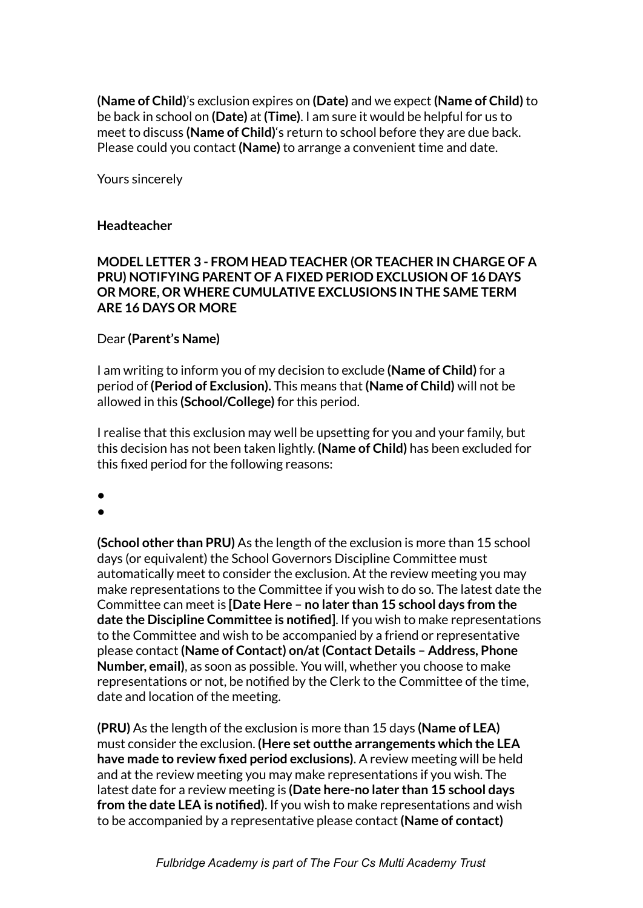**(Name of Child)**'s exclusion expires on **(Date)** and we expect **(Name of Child)** to be back in school on **(Date)** at **(Time)**. I am sure it would be helpful for us to meet to discuss **(Name of Child)**'s return to school before they are due back. Please could you contact **(Name)** to arrange a convenient time and date.

Yours sincerely

#### **Headteacher**

#### **MODEL LETTER 3 - FROM HEAD TEACHER (OR TEACHER IN CHARGE OF A PRU) NOTIFYING PARENT OF A FIXED PERIOD EXCLUSION OF 16 DAYS OR MORE, OR WHERE CUMULATIVE EXCLUSIONS IN THE SAME TERM ARE 16 DAYS OR MORE**

#### Dear **(Parent's Name)**

I am writing to inform you of my decision to exclude **(Name of Child)** for a period of **(Period of Exclusion).** This means that **(Name of Child)** will not be allowed in this **(School/College)** for this period.

I realise that this exclusion may well be upsetting for you and your family, but this decision has not been taken lightly. **(Name of Child)** has been excluded for this fixed period for the following reasons:

●

●

**(School other than PRU)** As the length of the exclusion is more than 15 school days (or equivalent) the School Governors Discipline Committee must automatically meet to consider the exclusion. At the review meeting you may make representations to the Committee if you wish to do so. The latest date the Committee can meet is **[Date Here – no later than 15 school days from the date the Discipline Committee is notified]**. If you wish to make representations to the Committee and wish to be accompanied by a friend or representative please contact **(Name of Contact) on/at(Contact Details – Address, Phone Number, email)**, as soon as possible. You will, whether you choose to make representations or not, be notified by the Clerk to the Committee of the time, date and location of the meeting.

**(PRU)** As the length of the exclusion is more than 15 days **(Name of LEA)** must consider the exclusion. **(Here set outthe arrangements which the LEA have made to review fixed period exclusions)**. A review meeting will be held and at the review meeting you may make representations if you wish. The latest date for a review meeting is **(Date here-no later than 15 school days from the date LEA is notified)**. If you wish to make representations and wish to be accompanied by a representative please contact **(Name of contact)**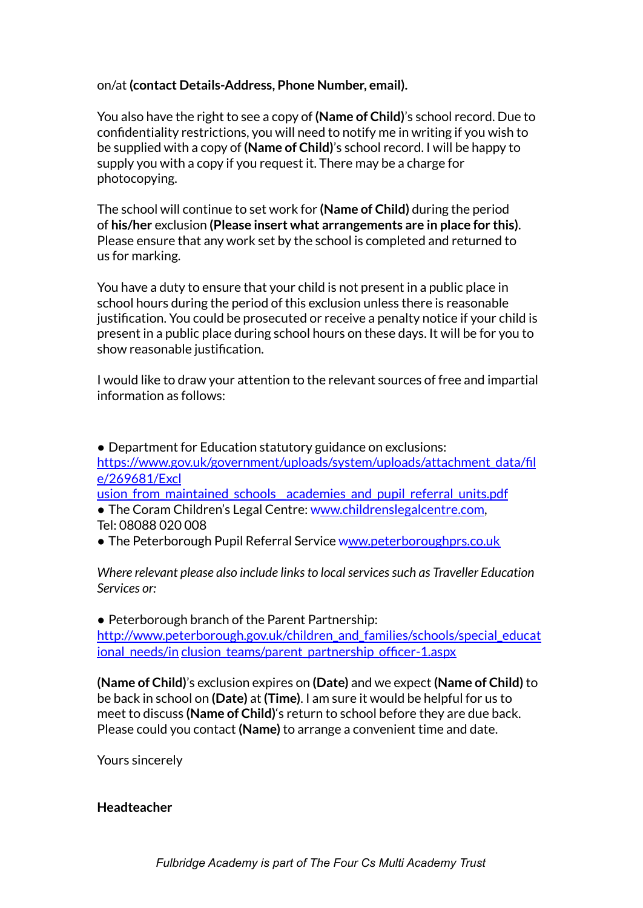on/at **(contact Details-Address, Phone Number, email).**

You also have the right to see a copy of **(Name of Child)**'s school record. Due to confidentiality restrictions, you will need to notify me in writing if you wish to be supplied with a copy of **(Name of Child)**'s school record. I will be happy to supply you with a copy if you request it. There may be a charge for photocopying.

The school will continue to set work for **(Name of Child)** during the period of **his/her** exclusion **(Please insert what arrangements are in place for this)**. Please ensure that any work set by the school is completed and returned to us for marking.

You have a duty to ensure that your child is not present in a public place in school hours during the period of this exclusion unless there is reasonable justification. You could be prosecuted or receive a penalty notice if your child is present in a public place during school hours on these days. It will be for you to show reasonable justification.

I would like to draw your attention to the relevant sources of free and impartial information as follows:

• Department for Education statutory guidance on exclusions: https://www.gov.uk/government/uploads/system/uploads/attachment\_data/fil e/269681/Excl

usion from maintained schools academies and pupil referral units.pdf

- The Coram Children's Legal Centre: www.childrenslegalcentre.com, Tel: 08088 020 008
- The Peterborough Pupil Referral Service www.peterboroughprs.co.uk

*Where relevant please also include linksto localservicessuch as Traveller Education Services or:*

• Peterborough branch of the Parent Partnership: http://www.peterborough.gov.uk/children\_and\_families/schools/special\_educat ional\_needs/in clusion\_teams/parent\_partnership\_officer-1.aspx

**(Name of Child)**'s exclusion expires on **(Date)** and we expect **(Name of Child)** to be back in school on **(Date)** at **(Time)**. I am sure it would be helpful for us to meet to discuss **(Name of Child)**'s return to school before they are due back. Please could you contact **(Name)** to arrange a convenient time and date.

Yours sincerely

#### **Headteacher**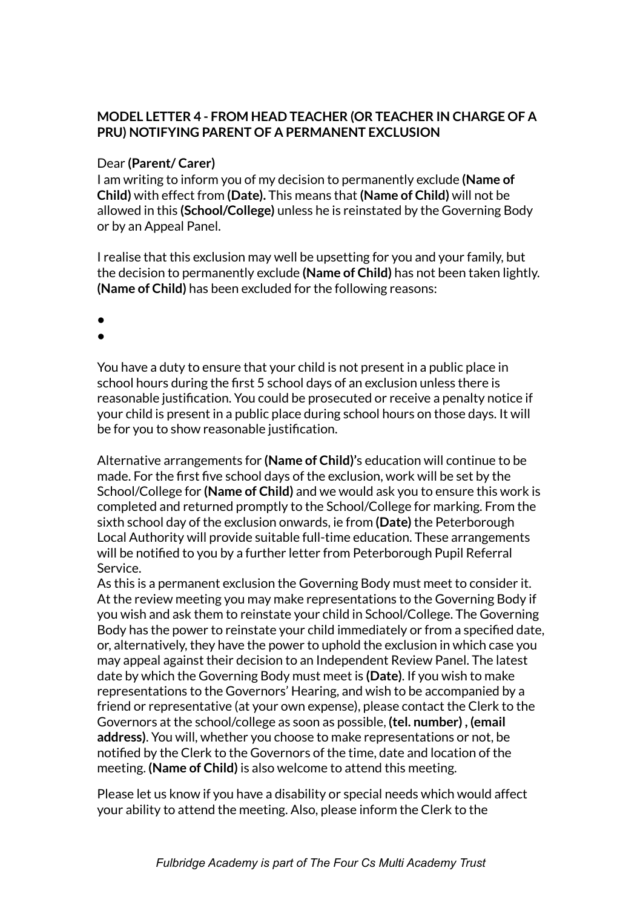## **MODEL LETTER 4 - FROM HEAD TEACHER (OR TEACHER IN CHARGE OF A PRU) NOTIFYING PARENT OF A PERMANENT EXCLUSION**

#### Dear **(Parent/ Carer)**

I am writing to inform you of my decision to permanently exclude **(Name of Child)** with effect from **(Date).** This means that **(Name of Child)** will not be allowed in this **(School/College)** unless he is reinstated by the Governing Body or by an Appeal Panel.

I realise that this exclusion may well be upsetting for you and your family, but the decision to permanently exclude **(Name of Child)** has not been taken lightly. **(Name of Child)** has been excluded for the following reasons:

- ●
- ●

You have a duty to ensure that your child is not present in a public place in school hours during the first 5 school days of an exclusion unless there is reasonable justification. You could be prosecuted or receive a penalty notice if your child is present in a public place during school hours on those days. It will be for you to show reasonable justification.

Alternative arrangements for **(Name of Child)'**s education will continue to be made. For the first five school days of the exclusion, work will be set by the School/College for **(Name of Child)** and we would ask you to ensure this work is completed and returned promptly to the School/College for marking. From the sixth school day of the exclusion onwards, ie from **(Date)** the Peterborough Local Authority will provide suitable full-time education. These arrangements will be notified to you by a further letter from Peterborough Pupil Referral Service.

As this is a permanent exclusion the Governing Body must meet to consider it. At the review meeting you may make representations to the Governing Body if you wish and ask them to reinstate your child in School/College. The Governing Body has the power to reinstate your child immediately or from a specified date, or, alternatively, they have the power to uphold the exclusion in which case you may appeal against their decision to an Independent Review Panel. The latest date by which the Governing Body must meet is **(Date)**. If you wish to make representations to the Governors' Hearing, and wish to be accompanied by a friend or representative (at your own expense), please contact the Clerk to the Governors at the school/college as soon as possible, **(tel. number) , (email address)**. You will, whether you choose to make representations or not, be notified by the Clerk to the Governors of the time, date and location of the meeting. **(Name of Child)** is also welcome to attend this meeting.

Please let us know if you have a disability or special needs which would affect your ability to attend the meeting. Also, please inform the Clerk to the